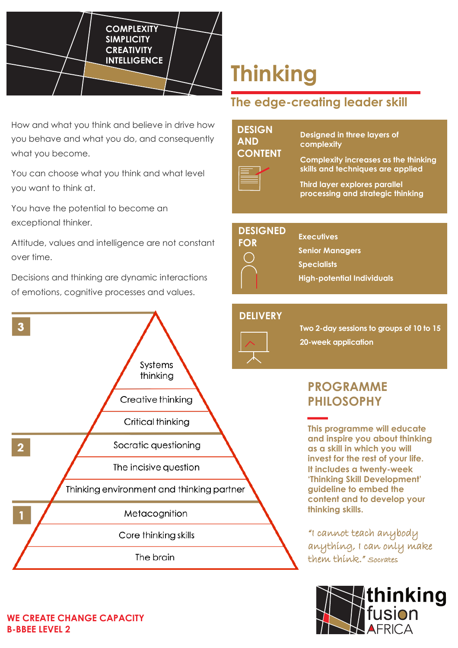

How and what you think and believe in drive how you behave and what you do, and consequently what you become.

You can choose what you think and what level you want to think at.

You have the potential to become an exceptional thinker.

Attitude, values and intelligence are not constant over time.

Decisions and thinking are dynamic interactions of emotions, cognitive processes and values.



# **Thinking**

# **The edge-creating leader skill**

# **DESIGN AND CONTENT**

**Designed in three layers of complexity**



**Complexity increases as the thinking skills and techniques are applied**

**Third layer explores parallel processing and strategic thinking**

#### **DESIGNED FOR**

**Senior Managers**

**Specialists** 

**Executives**

**High-potential Individuals**

# **DELIVERY**



**Two 2-day sessions to groups of 10 to 15 20-week application**

# **PROGRAMME PHILOSOPHY**

**This programme will educate and inspire you about thinking as a skill in which you will invest for the rest of your life. It includes a twenty-week 'Thinking Skill Development' guideline to embed the content and to develop your thinking skills.**

"I cannot teach anybody anything, I can only make them think." Socrates



### **WE CREATE CHANGE CAPACITY B-BBEE LEVEL 2**